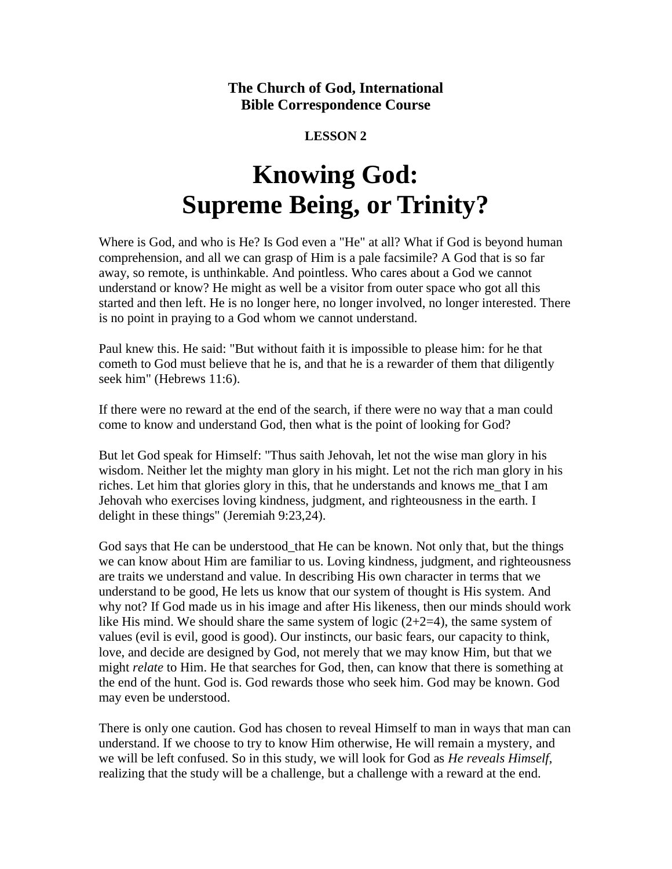**The Church of God, International Bible Correspondence Course**

## **LESSON 2**

# **Knowing God: Supreme Being, or Trinity?**

Where is God, and who is He? Is God even a "He" at all? What if God is beyond human comprehension, and all we can grasp of Him is a pale facsimile? A God that is so far away, so remote, is unthinkable. And pointless. Who cares about a God we cannot understand or know? He might as well be a visitor from outer space who got all this started and then left. He is no longer here, no longer involved, no longer interested. There is no point in praying to a God whom we cannot understand.

Paul knew this. He said: "But without faith it is impossible to please him: for he that cometh to God must believe that he is, and that he is a rewarder of them that diligently seek him" (Hebrews 11:6).

If there were no reward at the end of the search, if there were no way that a man could come to know and understand God, then what is the point of looking for God?

But let God speak for Himself: "Thus saith Jehovah, let not the wise man glory in his wisdom. Neither let the mighty man glory in his might. Let not the rich man glory in his riches. Let him that glories glory in this, that he understands and knows me\_that I am Jehovah who exercises loving kindness, judgment, and righteousness in the earth. I delight in these things" (Jeremiah 9:23,24).

God says that He can be understood that He can be known. Not only that, but the things we can know about Him are familiar to us. Loving kindness, judgment, and righteousness are traits we understand and value. In describing His own character in terms that we understand to be good, He lets us know that our system of thought is His system. And why not? If God made us in his image and after His likeness, then our minds should work like His mind. We should share the same system of logic  $(2+2=4)$ , the same system of values (evil is evil, good is good). Our instincts, our basic fears, our capacity to think, love, and decide are designed by God, not merely that we may know Him, but that we might *relate* to Him. He that searches for God, then, can know that there is something at the end of the hunt. God is. God rewards those who seek him. God may be known. God may even be understood.

There is only one caution. God has chosen to reveal Himself to man in ways that man can understand. If we choose to try to know Him otherwise, He will remain a mystery, and we will be left confused. So in this study, we will look for God as *He reveals Himself*, realizing that the study will be a challenge, but a challenge with a reward at the end.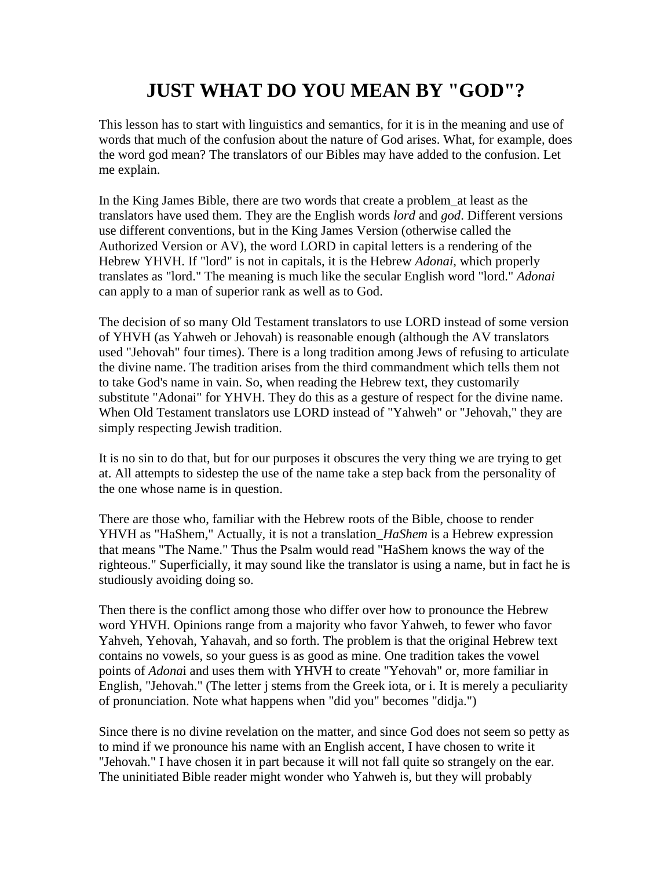# **JUST WHAT DO YOU MEAN BY "GOD"?**

This lesson has to start with linguistics and semantics, for it is in the meaning and use of words that much of the confusion about the nature of God arises. What, for example, does the word god mean? The translators of our Bibles may have added to the confusion. Let me explain.

In the King James Bible, there are two words that create a problem\_at least as the translators have used them. They are the English words *lord* and *god*. Different versions use different conventions, but in the King James Version (otherwise called the Authorized Version or AV), the word LORD in capital letters is a rendering of the Hebrew YHVH. If "lord" is not in capitals, it is the Hebrew *Adonai*, which properly translates as "lord." The meaning is much like the secular English word "lord." *Adonai* can apply to a man of superior rank as well as to God.

The decision of so many Old Testament translators to use LORD instead of some version of YHVH (as Yahweh or Jehovah) is reasonable enough (although the AV translators used "Jehovah" four times). There is a long tradition among Jews of refusing to articulate the divine name. The tradition arises from the third commandment which tells them not to take God's name in vain. So, when reading the Hebrew text, they customarily substitute "Adonai" for YHVH. They do this as a gesture of respect for the divine name. When Old Testament translators use LORD instead of "Yahweh" or "Jehovah," they are simply respecting Jewish tradition.

It is no sin to do that, but for our purposes it obscures the very thing we are trying to get at. All attempts to sidestep the use of the name take a step back from the personality of the one whose name is in question.

There are those who, familiar with the Hebrew roots of the Bible, choose to render YHVH as "HaShem," Actually, it is not a translation\_*HaShem* is a Hebrew expression that means "The Name." Thus the Psalm would read "HaShem knows the way of the righteous." Superficially, it may sound like the translator is using a name, but in fact he is studiously avoiding doing so.

Then there is the conflict among those who differ over how to pronounce the Hebrew word YHVH. Opinions range from a majority who favor Yahweh, to fewer who favor Yahveh, Yehovah, Yahavah, and so forth. The problem is that the original Hebrew text contains no vowels, so your guess is as good as mine. One tradition takes the vowel points of *Adona*i and uses them with YHVH to create "Yehovah" or, more familiar in English, "Jehovah." (The letter j stems from the Greek iota, or i. It is merely a peculiarity of pronunciation. Note what happens when "did you" becomes "didja.")

Since there is no divine revelation on the matter, and since God does not seem so petty as to mind if we pronounce his name with an English accent, I have chosen to write it "Jehovah." I have chosen it in part because it will not fall quite so strangely on the ear. The uninitiated Bible reader might wonder who Yahweh is, but they will probably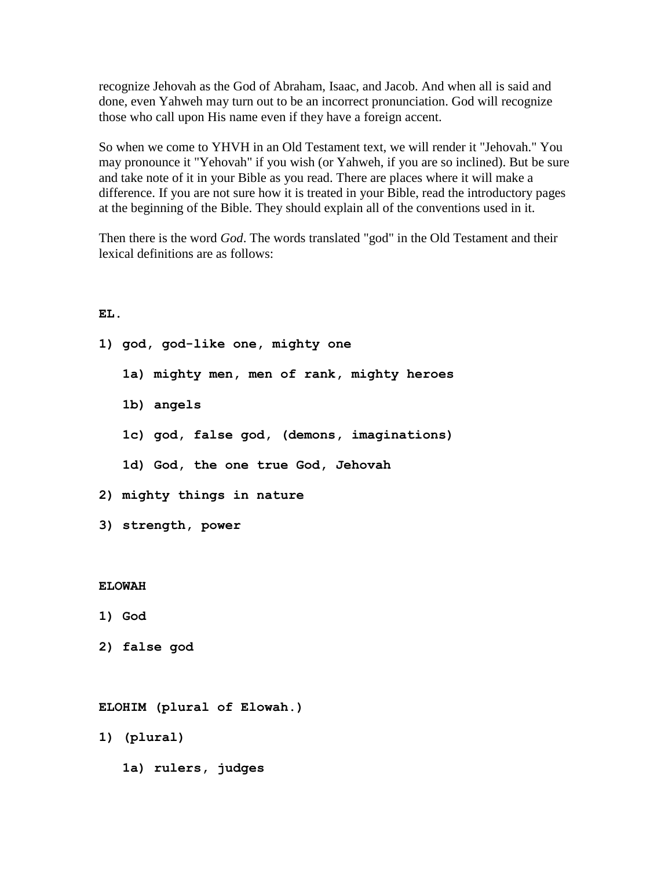recognize Jehovah as the God of Abraham, Isaac, and Jacob. And when all is said and done, even Yahweh may turn out to be an incorrect pronunciation. God will recognize those who call upon His name even if they have a foreign accent.

So when we come to YHVH in an Old Testament text, we will render it "Jehovah." You may pronounce it "Yehovah" if you wish (or Yahweh, if you are so inclined). But be sure and take note of it in your Bible as you read. There are places where it will make a difference. If you are not sure how it is treated in your Bible, read the introductory pages at the beginning of the Bible. They should explain all of the conventions used in it.

Then there is the word *God*. The words translated "god" in the Old Testament and their lexical definitions are as follows:

#### **EL.**

|               | 1) god, god-like one, mighty one           |
|---------------|--------------------------------------------|
|               | 1a) mighty men, men of rank, mighty heroes |
|               | 1b) angels                                 |
|               | 1c) god, false god, (demons, imaginations) |
|               | 1d) God, the one true God, Jehovah         |
|               | 2) mighty things in nature                 |
|               | 3) strength, power                         |
|               |                                            |
| <b>ELOWAH</b> |                                            |
|               | 1) God                                     |
|               | 2) false god                               |
|               |                                            |
|               | ELOHIM (plural of Elowah.)                 |
|               | 1) (plural)                                |
|               | 1a) rulers, judges                         |
|               |                                            |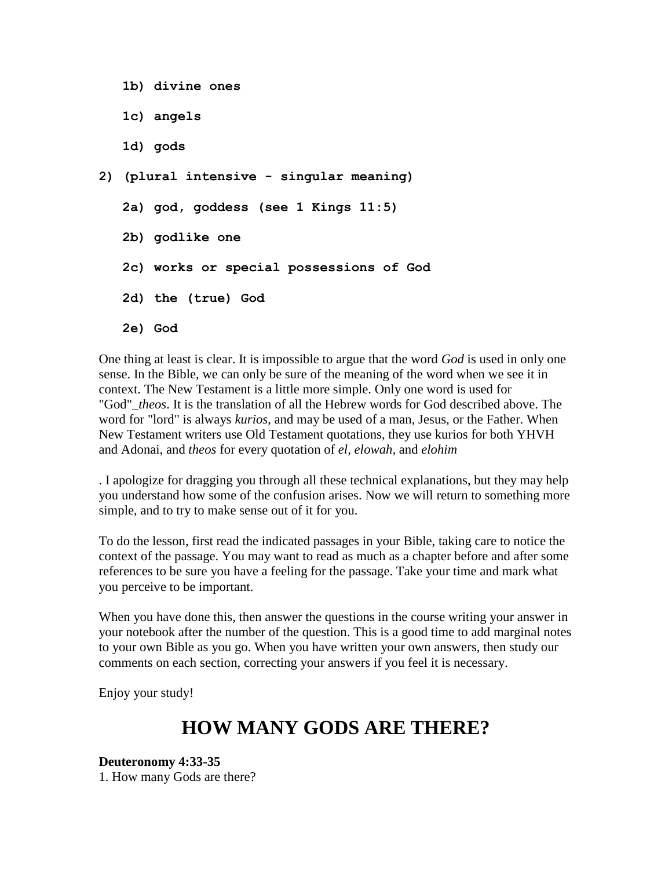**1b) divine ones 1c) angels 1d) gods 2) (plural intensive - singular meaning) 2a) god, goddess (see 1 Kings 11:5) 2b) godlike one 2c) works or special possessions of God 2d) the (true) God 2e) God**

One thing at least is clear. It is impossible to argue that the word *God* is used in only one sense. In the Bible, we can only be sure of the meaning of the word when we see it in context. The New Testament is a little more simple. Only one word is used for "God"\_*theos*. It is the translation of all the Hebrew words for God described above. The word for "lord" is always *kurios*, and may be used of a man, Jesus, or the Father. When New Testament writers use Old Testament quotations, they use kurios for both YHVH and Adonai, and *theos* for every quotation of *el, elowah,* and *elohim*

. I apologize for dragging you through all these technical explanations, but they may help you understand how some of the confusion arises. Now we will return to something more simple, and to try to make sense out of it for you.

To do the lesson, first read the indicated passages in your Bible, taking care to notice the context of the passage. You may want to read as much as a chapter before and after some references to be sure you have a feeling for the passage. Take your time and mark what you perceive to be important.

When you have done this, then answer the questions in the course writing your answer in your notebook after the number of the question. This is a good time to add marginal notes to your own Bible as you go. When you have written your own answers, then study our comments on each section, correcting your answers if you feel it is necessary.

Enjoy your study!

# **HOW MANY GODS ARE THERE?**

**Deuteronomy 4:33-35** 1. How many Gods are there?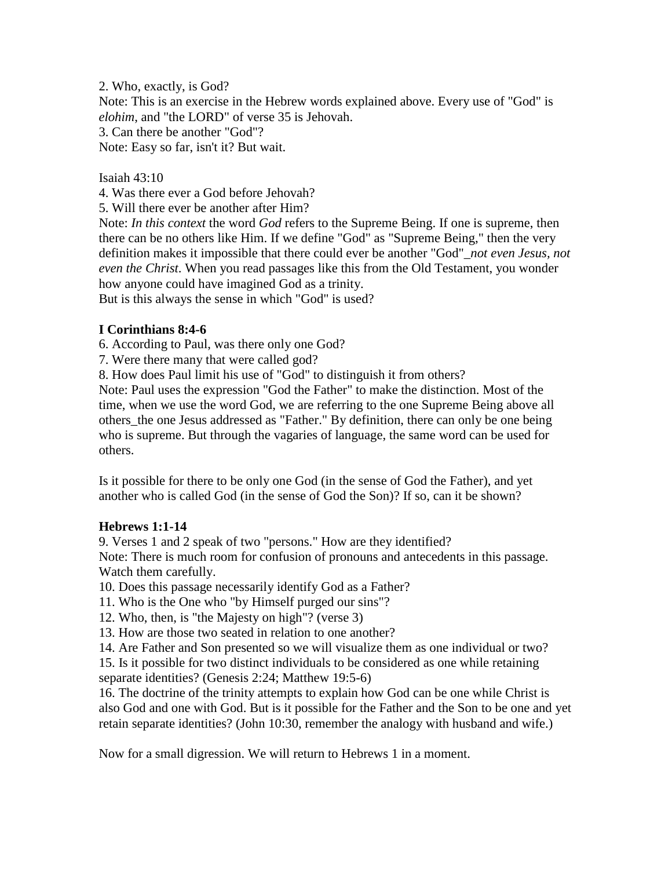2. Who, exactly, is God? Note: This is an exercise in the Hebrew words explained above. Every use of "God" is *elohim*, and "the LORD" of verse 35 is Jehovah. 3. Can there be another "God"? Note: Easy so far, isn't it? But wait.

#### Isaiah 43:10

4. Was there ever a God before Jehovah?

5. Will there ever be another after Him?

Note: *In this context* the word *God* refers to the Supreme Being. If one is supreme, then there can be no others like Him. If we define "God" as "Supreme Being," then the very definition makes it impossible that there could ever be another "God"\_*not even Jesus, not even the Christ*. When you read passages like this from the Old Testament, you wonder how anyone could have imagined God as a trinity.

But is this always the sense in which "God" is used?

#### **I Corinthians 8:4-6**

6. According to Paul, was there only one God?

7. Were there many that were called god?

8. How does Paul limit his use of "God" to distinguish it from others?

Note: Paul uses the expression "God the Father" to make the distinction. Most of the time, when we use the word God, we are referring to the one Supreme Being above all others\_the one Jesus addressed as "Father." By definition, there can only be one being who is supreme. But through the vagaries of language, the same word can be used for others.

Is it possible for there to be only one God (in the sense of God the Father), and yet another who is called God (in the sense of God the Son)? If so, can it be shown?

#### **Hebrews 1:1-14**

9. Verses 1 and 2 speak of two "persons." How are they identified?

Note: There is much room for confusion of pronouns and antecedents in this passage. Watch them carefully.

10. Does this passage necessarily identify God as a Father?

11. Who is the One who "by Himself purged our sins"?

12. Who, then, is "the Majesty on high"? (verse 3)

13. How are those two seated in relation to one another?

14. Are Father and Son presented so we will visualize them as one individual or two?

15. Is it possible for two distinct individuals to be considered as one while retaining separate identities? (Genesis 2:24; Matthew 19:5-6)

16. The doctrine of the trinity attempts to explain how God can be one while Christ is also God and one with God. But is it possible for the Father and the Son to be one and yet retain separate identities? (John 10:30, remember the analogy with husband and wife.)

Now for a small digression. We will return to Hebrews 1 in a moment.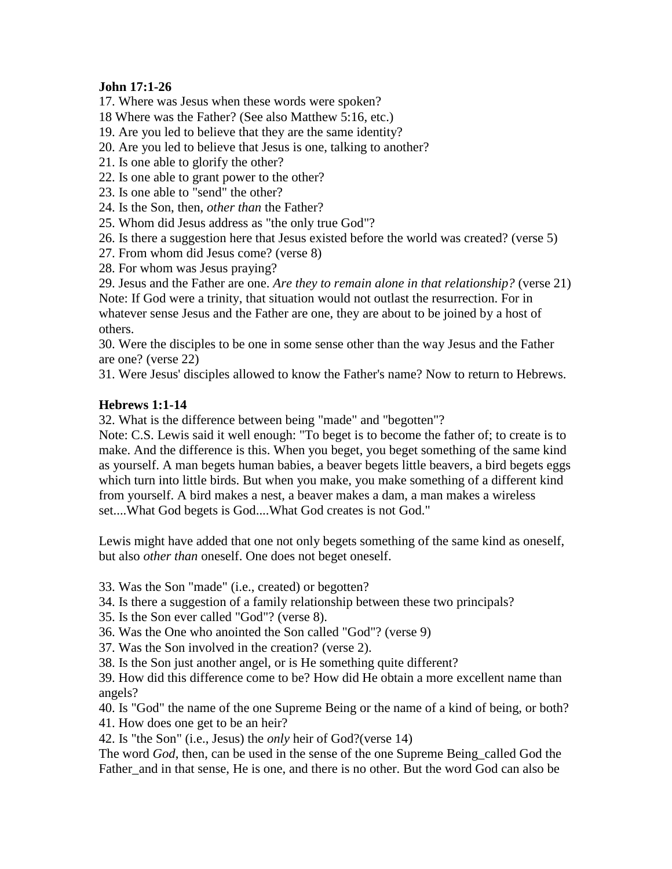## **John 17:1-26**

17. Where was Jesus when these words were spoken?

- 18 Where was the Father? (See also Matthew 5:16, etc.)
- 19. Are you led to believe that they are the same identity?
- 20. Are you led to believe that Jesus is one, talking to another?
- 21. Is one able to glorify the other?
- 22. Is one able to grant power to the other?
- 23. Is one able to "send" the other?
- 24. Is the Son, then, *other than* the Father?
- 25. Whom did Jesus address as "the only true God"?
- 26. Is there a suggestion here that Jesus existed before the world was created? (verse 5)
- 27. From whom did Jesus come? (verse 8)
- 28. For whom was Jesus praying?

29. Jesus and the Father are one. *Are they to remain alone in that relationship?* (verse 21) Note: If God were a trinity, that situation would not outlast the resurrection. For in whatever sense Jesus and the Father are one, they are about to be joined by a host of others.

30. Were the disciples to be one in some sense other than the way Jesus and the Father are one? (verse 22)

31. Were Jesus' disciples allowed to know the Father's name? Now to return to Hebrews.

# **Hebrews 1:1-14**

32. What is the difference between being "made" and "begotten"?

Note: C.S. Lewis said it well enough: "To beget is to become the father of; to create is to make. And the difference is this. When you beget, you beget something of the same kind as yourself. A man begets human babies, a beaver begets little beavers, a bird begets eggs which turn into little birds. But when you make, you make something of a different kind from yourself. A bird makes a nest, a beaver makes a dam, a man makes a wireless set....What God begets is God....What God creates is not God."

Lewis might have added that one not only begets something of the same kind as oneself, but also *other than* oneself. One does not beget oneself.

- 33. Was the Son "made" (i.e., created) or begotten?
- 34. Is there a suggestion of a family relationship between these two principals?
- 35. Is the Son ever called "God"? (verse 8).
- 36. Was the One who anointed the Son called "God"? (verse 9)
- 37. Was the Son involved in the creation? (verse 2).

38. Is the Son just another angel, or is He something quite different?

39. How did this difference come to be? How did He obtain a more excellent name than angels?

40. Is "God" the name of the one Supreme Being or the name of a kind of being, or both? 41. How does one get to be an heir?

42. Is "the Son" (i.e., Jesus) the *only* heir of God?(verse 14)

The word *God*, then, can be used in the sense of the one Supreme Being\_called God the Father and in that sense. He is one, and there is no other. But the word God can also be